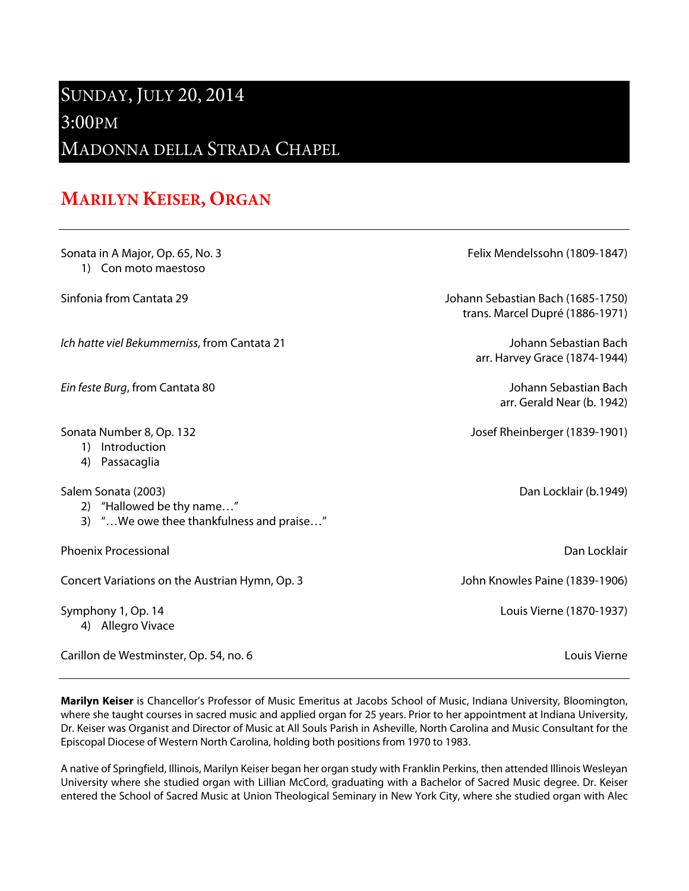## SUNDAY, JULY 20, 2014

## 3:00PM

MADONNA DELLA STRADA CHAPEL

## **MARILYN KEISER, ORGAN**

| Sonata in A Major, Op. 65, No. 3<br>1) Con moto maestoso                                     | Felix Mendelssohn (1809-1847)                                        |
|----------------------------------------------------------------------------------------------|----------------------------------------------------------------------|
| Sinfonia from Cantata 29                                                                     | Johann Sebastian Bach (1685-1750)<br>trans. Marcel Dupré (1886-1971) |
| Ich hatte viel Bekummerniss, from Cantata 21                                                 | Johann Sebastian Bach<br>arr. Harvey Grace (1874-1944)               |
| Ein feste Burg, from Cantata 80                                                              | Johann Sebastian Bach<br>arr. Gerald Near (b. 1942)                  |
| Sonata Number 8, Op. 132<br>1) Introduction<br>4) Passacaglia                                | Josef Rheinberger (1839-1901)                                        |
| Salem Sonata (2003)<br>2) "Hallowed be thy name"<br>3) "We owe thee thankfulness and praise" | Dan Locklair (b.1949)                                                |
| <b>Phoenix Processional</b>                                                                  | Dan Locklair                                                         |
| Concert Variations on the Austrian Hymn, Op. 3                                               | John Knowles Paine (1839-1906)                                       |
| Symphony 1, Op. 14<br>4) Allegro Vivace                                                      | Louis Vierne (1870-1937)                                             |
| Carillon de Westminster, Op. 54, no. 6                                                       | Louis Vierne                                                         |

**Marilyn Keiser** is Chancellor's Professor of Music Emeritus at Jacobs School of Music, Indiana University, Bloomington, where she taught courses in sacred music and applied organ for 25 years. Prior to her appointment at Indiana University, Dr. Keiser was Organist and Director of Music at All Souls Parish in Asheville, North Carolina and Music Consultant for the Episcopal Diocese of Western North Carolina, holding both positions from 1970 to 1983.

A native of Springfield, Illinois, Marilyn Keiser began her organ study with Franklin Perkins, then attended Illinois Wesleyan University where she studied organ with Lillian McCord, graduating with a Bachelor of Sacred Music degree. Dr. Keiser entered the School of Sacred Music at Union Theological Seminary in New York City, where she studied organ with Alec